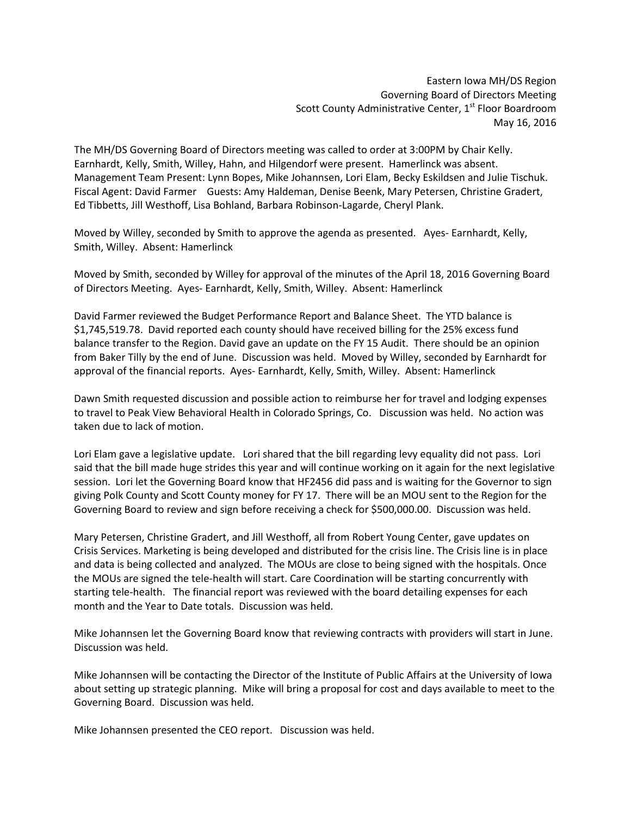Eastern Iowa MH/DS Region Governing Board of Directors Meeting Scott County Administrative Center, 1<sup>st</sup> Floor Boardroom May 16, 2016

The MH/DS Governing Board of Directors meeting was called to order at 3:00PM by Chair Kelly. Earnhardt, Kelly, Smith, Willey, Hahn, and Hilgendorf were present. Hamerlinck was absent. Management Team Present: Lynn Bopes, Mike Johannsen, Lori Elam, Becky Eskildsen and Julie Tischuk. Fiscal Agent: David Farmer Guests: Amy Haldeman, Denise Beenk, Mary Petersen, Christine Gradert, Ed Tibbetts, Jill Westhoff, Lisa Bohland, Barbara Robinson-Lagarde, Cheryl Plank.

Moved by Willey, seconded by Smith to approve the agenda as presented. Ayes- Earnhardt, Kelly, Smith, Willey. Absent: Hamerlinck

Moved by Smith, seconded by Willey for approval of the minutes of the April 18, 2016 Governing Board of Directors Meeting. Ayes- Earnhardt, Kelly, Smith, Willey. Absent: Hamerlinck

David Farmer reviewed the Budget Performance Report and Balance Sheet. The YTD balance is \$1,745,519.78. David reported each county should have received billing for the 25% excess fund balance transfer to the Region. David gave an update on the FY 15 Audit. There should be an opinion from Baker Tilly by the end of June. Discussion was held. Moved by Willey, seconded by Earnhardt for approval of the financial reports. Ayes- Earnhardt, Kelly, Smith, Willey. Absent: Hamerlinck

Dawn Smith requested discussion and possible action to reimburse her for travel and lodging expenses to travel to Peak View Behavioral Health in Colorado Springs, Co. Discussion was held. No action was taken due to lack of motion.

Lori Elam gave a legislative update. Lori shared that the bill regarding levy equality did not pass. Lori said that the bill made huge strides this year and will continue working on it again for the next legislative session. Lori let the Governing Board know that HF2456 did pass and is waiting for the Governor to sign giving Polk County and Scott County money for FY 17. There will be an MOU sent to the Region for the Governing Board to review and sign before receiving a check for \$500,000.00. Discussion was held.

Mary Petersen, Christine Gradert, and Jill Westhoff, all from Robert Young Center, gave updates on Crisis Services. Marketing is being developed and distributed for the crisis line. The Crisis line is in place and data is being collected and analyzed. The MOUs are close to being signed with the hospitals. Once the MOUs are signed the tele-health will start. Care Coordination will be starting concurrently with starting tele-health. The financial report was reviewed with the board detailing expenses for each month and the Year to Date totals. Discussion was held.

Mike Johannsen let the Governing Board know that reviewing contracts with providers will start in June. Discussion was held.

Mike Johannsen will be contacting the Director of the Institute of Public Affairs at the University of Iowa about setting up strategic planning. Mike will bring a proposal for cost and days available to meet to the Governing Board. Discussion was held.

Mike Johannsen presented the CEO report. Discussion was held.